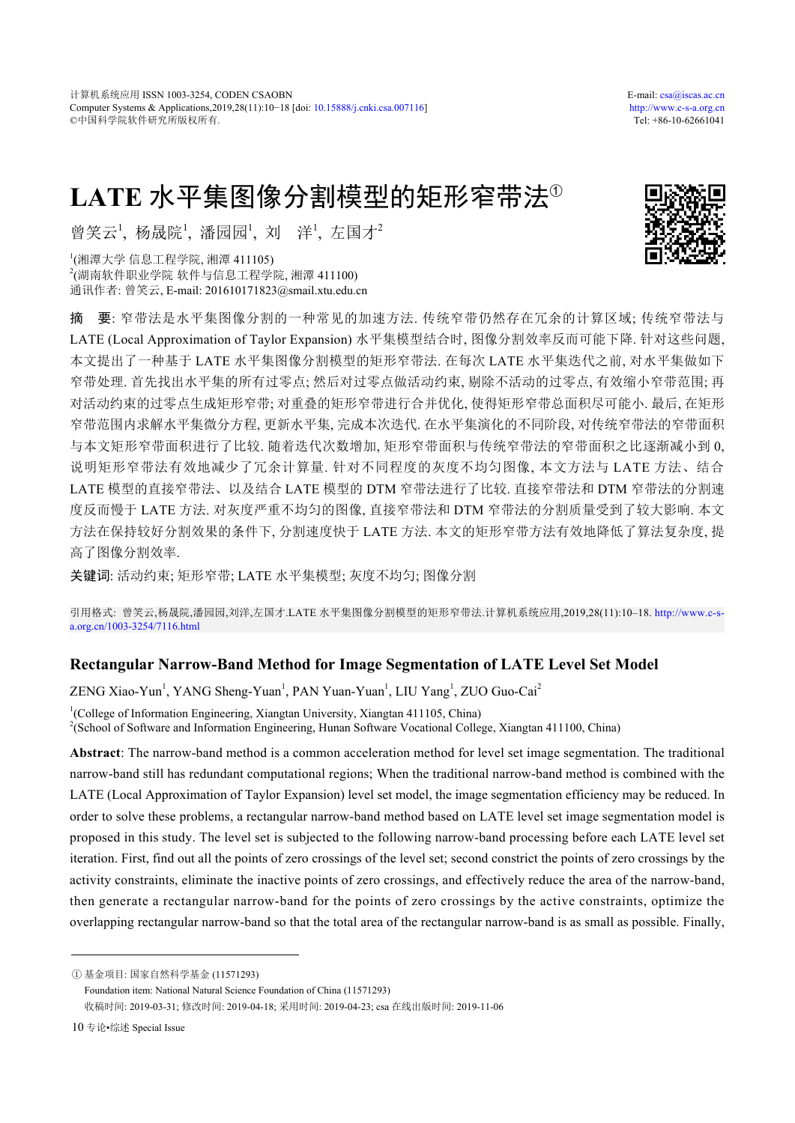# **LATE** 水平集图像分割模型的矩形窄带法<sup>①</sup>

曾笑云<sup>1</sup>, 杨晟院<sup>1</sup>, 潘园园<sup>1</sup>, 刘 洋<sup>1</sup>, 左国才<sup>2</sup>

1 (湘潭大学 信息工程学院, 湘潭 411105) 2 (湖南软件职业学院 软件与信息工程学院, 湘潭 411100) 通讯作者: 曾笑云, E-mail: 201610171823@smail.xtu.edu.cn

摘 要: 窄带法是水平集图像分割的一种常见的加速方法. 传统窄带仍然存在冗余的计算区域; 传统窄带法与 LATE (Local Approximation of Taylor Expansion) 水平集模型结合时, 图像分割效率反而可能下降. 针对这些问题, 本文提出了一种基于 LATE 水平集图像分割模型的矩形窄带法. 在每次 LATE 水平集迭代之前, 对水平集做如下 窄带处理. 首先找出水平集的所有过零点; 然后对过零点做活动约束, 剔除不活动的过零点, 有效缩小窄带范围; 再 对活动约束的过零点生成矩形窄带; 对重叠的矩形窄带进行合并优化, 使得矩形窄带总面积尽可能小. 最后, 在矩形 窄带范围内求解水平集微分方程, 更新水平集, 完成本次迭代. 在水平集演化的不同阶段, 对传统窄带法的窄带面积 与本文矩形窄带面积进行了比较. 随着迭代次数增加, 矩形窄带面积与传统窄带法的窄带面积之比逐渐减小到 0, 说明矩形窄带法有效地减少了冗余计算量. 针对不同程度的灰度不均匀图像, 本文方法与 LATE 方法、结合 LATE 模型的直接窄带法、以及结合 LATE 模型的 DTM 窄带法进行了比较. 直接窄带法和 DTM 窄带法的分割速 度反而慢于 LATE 方法. 对灰度严重不均匀的图像, 直接窄带法和 DTM 窄带法的分割质量受到了较大影响. 本文 方法在保持较好分割效果的条件下, 分割速度快于 LATE 方法. 本文的矩形窄带方法有效地降低了算法复杂度, 提 高了图像分割效率.

关键词: 活动约束; 矩形窄带; LATE 水平集模型; 灰度不均匀; 图像分割

引用格式: 曾笑云,杨晟院,潘园园,刘洋,左国才.LATE 水平集图像分割模型的矩形窄带法.计算机系统应用,2019,28(11):10–18. [http://www.c-s](http://www.c-s-a.org.cn/1003-3254/7116.html)[a.org.cn/1003-3254/7116.html](http://www.c-s-a.org.cn/1003-3254/7116.html)

## **Rectangular Narrow-Band Method for Image Segmentation of LATE Level Set Model**

ZENG Xiao-Yun<sup>1</sup>, YANG Sheng-Yuan<sup>1</sup>, PAN Yuan-Yuan<sup>1</sup>, LIU Yang<sup>1</sup>, ZUO Guo-Cai<sup>2</sup> <sup>1</sup>(College of Information Engineering, Xiangtan University, Xiangtan 411105, China) 2 (School of Software and Information Engineering, Hunan Software Vocational College, Xiangtan 411100, China)

**Abstract**: The narrow-band method is a common acceleration method for level set image segmentation. The traditional narrow-band still has redundant computational regions; When the traditional narrow-band method is combined with the LATE (Local Approximation of Taylor Expansion) level set model, the image segmentation efficiency may be reduced. In order to solve these problems, a rectangular narrow-band method based on LATE level set image segmentation model is proposed in this study. The level set is subjected to the following narrow-band processing before each LATE level set iteration. First, find out all the points of zero crossings of the level set; second constrict the points of zero crossings by the activity constraints, eliminate the inactive points of zero crossings, and effectively reduce the area of the narrow-band, then generate a rectangular narrow-band for the points of zero crossings by the active constraints, optimize the overlapping rectangular narrow-band so that the total area of the rectangular narrow-band is as small as possible. Finally,



① 基金项目: 国家自然科学基金 (11571293)

Foundation item: National Natural Science Foundation of China (11571293)

收稿时间: 2019-03-31; 修改时间: 2019-04-18; 采用时间: 2019-04-23; csa 在线出版时间: 2019-11-06

<sup>10</sup> 专论•综述 Special Issue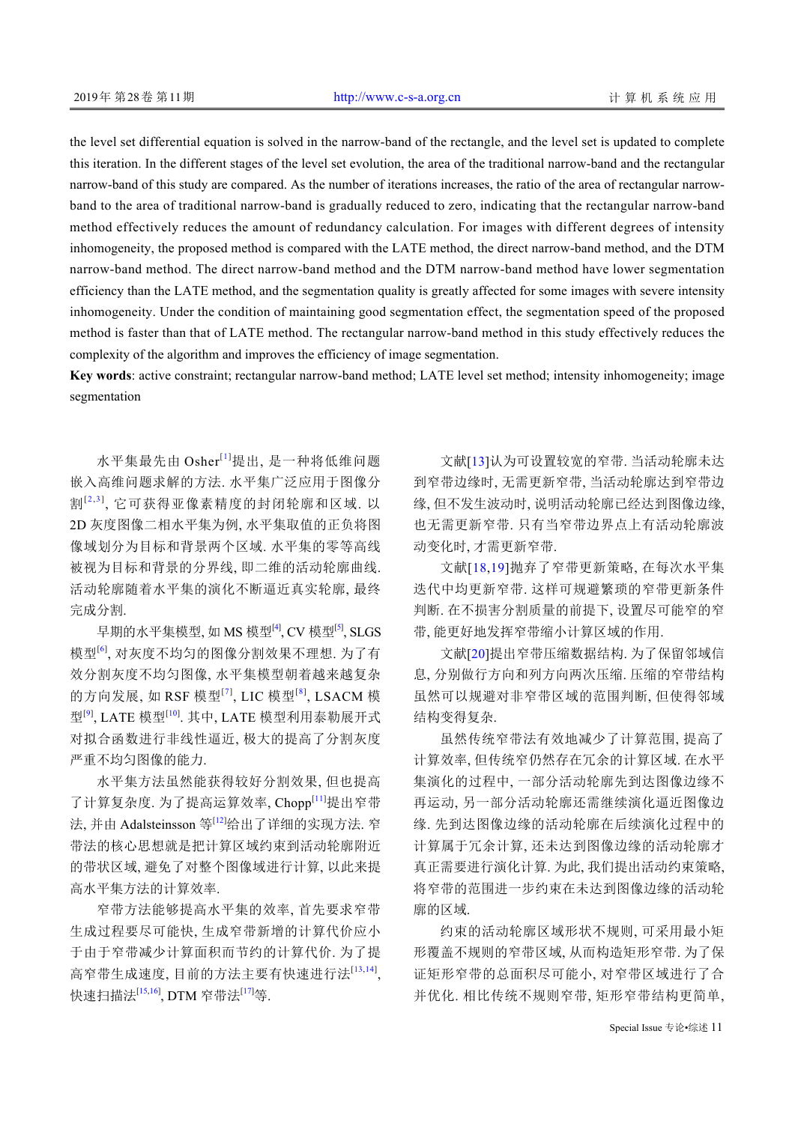the level set differential equation is solved in the narrow-band of the rectangle, and the level set is updated to complete this iteration. In the different stages of the level set evolution, the area of the traditional narrow-band and the rectangular narrow-band of this study are compared. As the number of iterations increases, the ratio of the area of rectangular narrowband to the area of traditional narrow-band is gradually reduced to zero, indicating that the rectangular narrow-band method effectively reduces the amount of redundancy calculation. For images with different degrees of intensity inhomogeneity, the proposed method is compared with the LATE method, the direct narrow-band method, and the DTM narrow-band method. The direct narrow-band method and the DTM narrow-band method have lower segmentation efficiency than the LATE method, and the segmentation quality is greatly affected for some images with severe intensity inhomogeneity. Under the condition of maintaining good segmentation effect, the segmentation speed of the proposed method is faster than that of LATE method. The rectangular narrow-band method in this study effectively reduces the complexity of the algorithm and improves the efficiency of image segmentation.

**Key words**: active constraint; rectangular narrow-band method; LATE level set method; intensity inhomogeneity; image segmentation

水平集最先由 Osher[[1](#page-8-0)]提出, 是一种将低维问题 嵌入高维问题求解的方法. 水平集广泛应用于图像分 割<sup>[[2](#page-8-1),[3](#page-8-2)]</sup>, 它可获得亚像素精度的封闭轮廓和区域. 以 2D 灰度图像二相水平集为例, 水平集取值的正负将图 像域划分为目标和背景两个区域. 水平集的零等高线 被视为目标和背景的分界线, 即二维的活动轮廓曲线. 活动轮廓随着水平集的演化不断逼近真实轮廓, 最终 完成分割.

早期的水平集模型, 如 MS 模型[<sup>[4\]](#page-8-3)</sup>, CV 模型<sup>[[5\]](#page-8-4)</sup>, SLGS 模型[[6](#page-8-5)] , 对灰度不均匀的图像分割效果不理想. 为了有 效分割灰度不均匀图像, 水平集模型朝着越来越复杂 的方向发展, 如 RSF 模型<sup>[[7](#page-8-6)]</sup>, LIC 模型<sup>[[8](#page-8-7)]</sup>, LSACM 模 型<sup>[[9\]](#page-8-8)</sup>, LATE 模型<sup>[\[10\]](#page-8-9)</sup>. 其中, LATE 模型利用泰勒展开式 对拟合函数进行非线性逼近, 极大的提高了分割灰度 严重不均匀图像的能力.

水平集方法虽然能获得较好分割效果, 但也提高 了计算复杂度. 为了提高运算效率, Chopp[[11](#page-8-10)]提出窄带 法, 并由 Adalsteinsson 等[\[12\]](#page-8-11)给出了详细的实现方法. 窄 带法的核心思想就是把计算区域约束到活动轮廓附近 的带状区域, 避免了对整个图像域进行计算, 以此来提 高水平集方法的计算效率.

窄带方法能够提高水平集的效率, 首先要求窄带 生成过程要尽可能快, 生成窄带新增的计算代价应小 于由于窄带减少计算面积而节约的计算代价. 为了提 高窄带生成速度, 目前的方法主要有快速进行法[[13,](#page-8-12)[14](#page-8-13)], 快速扫描法<sup>[\[15](#page-8-14)[,16](#page-8-15)</sup>], DTM 窄带法<sup>[\[17](#page-8-16)]</sup>等.

文献[\[13](#page-8-12)]认为可设置较宽的窄带. 当活动轮廓未达 到窄带边缘时, 无需更新窄带, 当活动轮廓达到窄带边 缘, 但不发生波动时, 说明活动轮廓已经达到图像边缘, 也无需更新窄带. 只有当窄带边界点上有活动轮廓波 动变化时, 才需更新窄带.

文献[[18](#page-8-17),[19](#page-8-18)]抛弃了窄带更新策略, 在每次水平集 迭代中均更新窄带. 这样可规避繁琐的窄带更新条件 判断. 在不损害分割质量的前提下, 设置尽可能窄的窄 带, 能更好地发挥窄带缩小计算区域的作用.

文献[\[20](#page-8-19)]提出窄带压缩数据结构. 为了保留邻域信 息, 分别做行方向和列方向两次压缩. 压缩的窄带结构 虽然可以规避对非窄带区域的范围判断, 但使得邻域 结构变得复杂.

虽然传统窄带法有效地减少了计算范围, 提高了 计算效率, 但传统窄仍然存在冗余的计算区域. 在水平 集演化的过程中, 一部分活动轮廓先到达图像边缘不 再运动, 另一部分活动轮廓还需继续演化逼近图像边 缘. 先到达图像边缘的活动轮廓在后续演化过程中的 计算属于冗余计算, 还未达到图像边缘的活动轮廓才 真正需要进行演化计算. 为此, 我们提出活动约束策略, 将窄带的范围进一步约束在未达到图像边缘的活动轮 廓的区域.

约束的活动轮廓区域形状不规则, 可采用最小矩 形覆盖不规则的窄带区域, 从而构造矩形窄带. 为了保 证矩形窄带的总面积尽可能小, 对窄带区域进行了合 并优化. 相比传统不规则窄带, 矩形窄带结构更简单,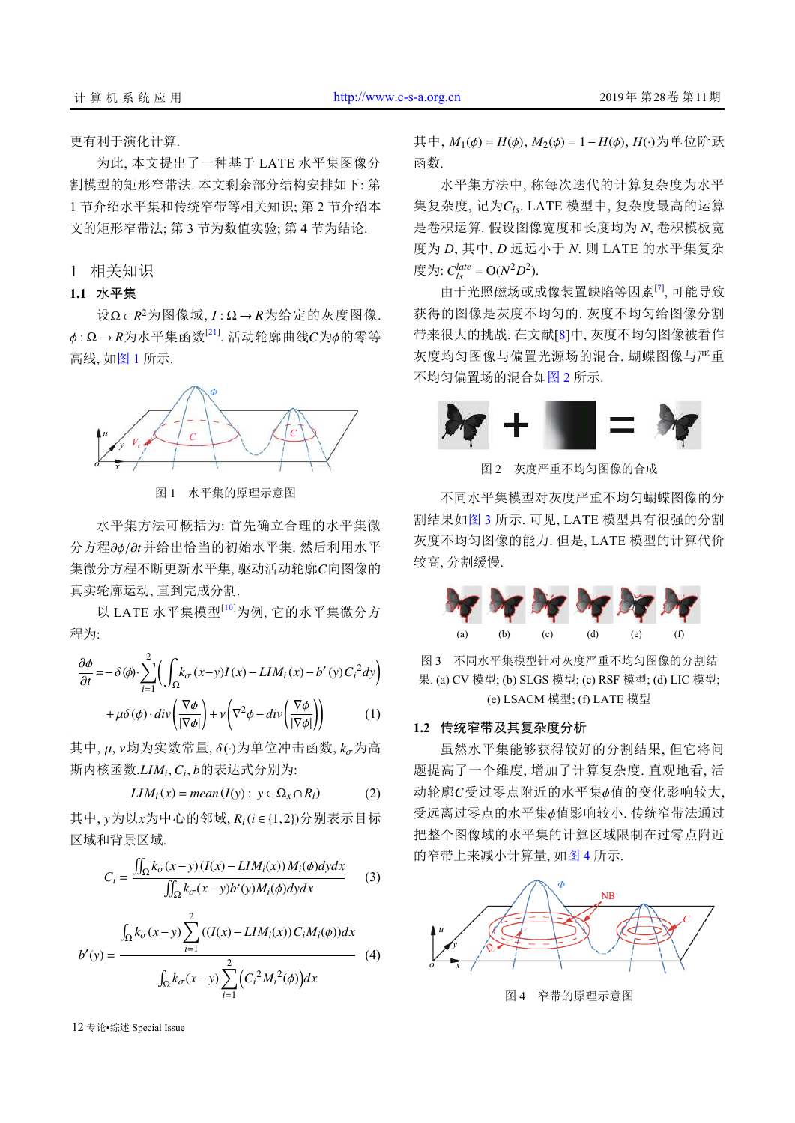更有利于演化计算.

为此, 本文提出了一种基于 LATE 水平集图像分 割模型的矩形窄带法. 本文剩余部分结构安排如下: 第 1 节介绍水平集和传统窄带等相关知识; 第 2 节介绍本 文的矩形窄带法; 第 3 节为数值实验; 第 4 节为结论.

1 相关知识

## **1.1** 水平集

 $\mathcal{R} \Omega \in \mathbb{R}^2$ 为图像域,  $I : \Omega \rightarrow \mathbb{R}$ 为给定的灰度图像.  $\phi$ :Ω→R为水平集函数 $^{[21]}$  $^{[21]}$  $^{[21]}$ . 活动轮廓曲线 $C$ 为 $\phi$ 的零等 高线, [如图](#page-2-0) [1](#page-2-0) 所示.



图 1 水平集的原理示意图

<span id="page-2-0"></span>分方程∂φ/∂t并给出恰当的初始水平集. 然后利用水平 集微分方程不断更新水平集, 驱动活动轮廓 C向图像的 水平集方法可概括为: 首先确立合理的水平集微 真实轮廓运动, 直到完成分割.

以 LATE 水平集模型<sup>[[10](#page-8-9)]</sup>为例, 它的水平集微分方 程为:

$$
\frac{\partial \phi}{\partial t} = -\delta(\phi) \cdot \sum_{i=1}^{2} \left( \int_{\Omega} k_{\sigma}(x-y)I(x) - LIM_{i}(x) - b'(y)C_{i}^{2}dy \right) + \mu \delta(\phi) \cdot div \left( \frac{\nabla \phi}{|\nabla \phi|} \right) + \nu \left( \nabla^{2} \phi - div \left( \frac{\nabla \phi}{|\nabla \phi|} \right) \right)
$$
(1)

其中, μ, ν均为实数常量, δ(·)为单位冲击函数, kσ为高 斯内核函数. LIM<sub>i</sub>, C<sub>i</sub>, b的表达式分别为:

$$
LIM_i(x) = mean(I(y) : y \in \Omega_x \cap R_i)
$$
 (2)

其中, *y*为以*x*为中心的邻域, *R*<sub>*i*</sub>(*i* ∈ {1,2})分别表示目标 区域和背景区域.

$$
C_i = \frac{\iint_{\Omega} k_{\sigma}(x-y) (I(x) - LIM_i(x)) M_i(\phi) dy dx}{\iint_{\Omega} k_{\sigma}(x-y) b'(y) M_i(\phi) dy dx}
$$
(3)

$$
b'(y) = \frac{\int_{\Omega} k_{\sigma}(x - y) \sum_{i=1}^{2} ((I(x) - LIM_i(x))C_iM_i(\phi))dx}{\int_{\Omega} k_{\sigma}(x - y) \sum_{i=1}^{2} (C_i^2M_i^2(\phi))dx}
$$
(4)

其中, *M*1(ϕ) = *H*(ϕ), *M*2(ϕ) = 1− *H*(ϕ), *H*(·) 为单位阶跃 函数.

集复杂度, 记为 C<sub>ls</sub>. LATE 模型中, 复杂度最高的运算 度为:  $C_{ls}^{late} = O(N^2D^2)$ . 水平集方法中, 称每次迭代的计算复杂度为水平 是卷积运算. 假设图像宽度和长度均为 *N*, 卷积模板宽 度为 *D*, 其中, *D* 远远小于 *N*. 则 LATE 的水平集复杂

由于光照磁场或成像装置缺陷等因素[\[7\]](#page-8-6) , 可能导致 获得的图像是灰度不均匀的. 灰度不均匀给图像分割 带来很大的挑战. 在文献[[8\]](#page-8-7)中, 灰度不均匀图像被看作 灰度均匀图像与偏置光源场的混合. 蝴蝶图像与严重 不均匀偏置场的混合如[图](#page-2-1) [2](#page-2-1) 所示.

<span id="page-2-1"></span>

图 2 灰度严重不均匀图像的合成

不同水平集模型对灰度严重不均匀蝴蝶图像的分 割结果[如图](#page-2-2) [3](#page-2-2) 所示. 可见, LATE 模型具有很强的分割 灰度不均匀图像的能力. 但是, LATE 模型的计算代价 较高, 分割缓慢.



<span id="page-2-2"></span>图 3 不同水平集模型针对灰度严重不均匀图像的分割结 果. (a) CV 模型; (b) SLGS 模型; (c) RSF 模型; (d) LIC 模型; (e) LSACM 模型; (f) LATE 模型

#### **1.2** 传统窄带及其复杂度分析

动轮廓C受过零点附近的水平集φ值的变化影响较大, 受远离过零点的水平集φ值影响较小. 传统窄带法通过 虽然水平集能够获得较好的分割结果, 但它将问 题提高了一个维度, 增加了计算复杂度. 直观地看, 活 把整个图像域的水平集的计算区域限制在过零点附近 的窄带上来减小计算量, 如[图](#page-2-3) [4](#page-2-3) 所示.

<span id="page-2-3"></span>

图 4 窄带的原理示意图

12 专论•综述 Special Issue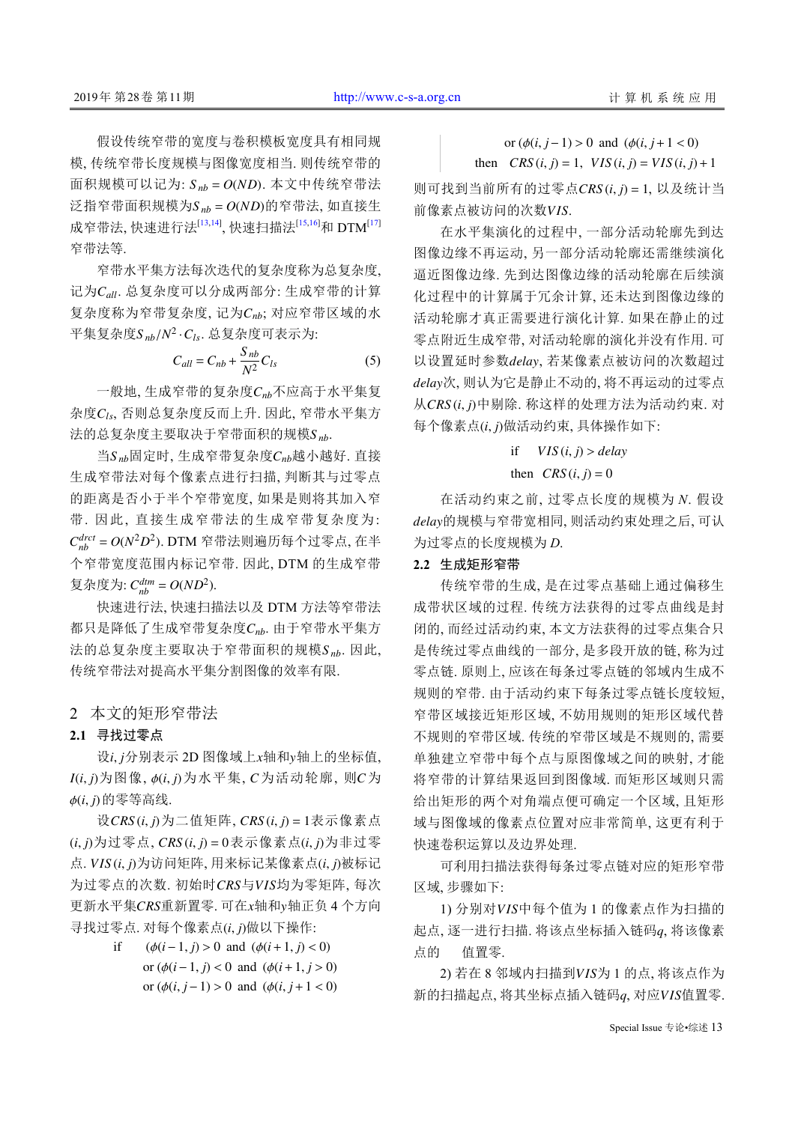面积规模可以记为:  $S_{nb} = O(ND)$ . 本文中传统窄带法  $\widetilde{\varphi}$ 指窄带面积规模为 $S_{nb}$  =  $O(ND)$ 的窄带法, 如直接生 假设传统窄带的宽度与卷积模板宽度具有相同规 模, 传统窄带长度规模与图像宽度相当. 则传统窄带的 成窄带法, 快速进行法<sup>[[13](#page-8-12),[14](#page-8-13)]</sup>, 快速扫描法<sup>[[15](#page-8-14),[16\]](#page-8-15)</sup>和 DTM<sup>[\[17](#page-8-16)]</sup> 窄带法等.

记为 C<sub>all</sub>. 总复杂度可以分成两部分: 生成窄带的计算 复杂度称为窄带复杂度, 记为 Cnb; 对应窄带区域的水 平集复杂度 $S_{nb}/N^2 \cdot C_{ls}$ . 总复杂度可表示为: 窄带水平集方法每次迭代的复杂度称为总复杂度,

$$
C_{all} = C_{nb} + \frac{S_{nb}}{N^2}C_{ls}
$$
 (5)

一般地, 生成窄带的复杂度 $C_{nb}$ 不应高于水平集复 杂度 C<sub>ls</sub>, 否则总复杂度反而上升. 因此, 窄带水平集方 法的总复杂度主要取决于窄带面积的规模 $S_{\textit{n}\textit{b}}$ .

当 $S$ <sub>nb</sub>固定时, 生成窄带复杂度 $C_{nb}$ 越小越好. 直接 *C drct nb* = *O*(*N* <sup>2</sup>*D* 2 ) . DTM 窄带法则遍历每个过零点, 在半 复杂度为:  $C_{nb}^{dm} = O(ND^2)$ . 生成窄带法对每个像素点进行扫描, 判断其与过零点 的距离是否小于半个窄带宽度, 如果是则将其加入窄 带. 因此, 直接生成窄带法的生成窄带复杂度为: 个窄带宽度范围内标记窄带. 因此, DTM 的生成窄带

都只是降低了生成窄带复杂度  $C_{nb}$ . 由于窄带水平集方 法的总复杂度主要取决于窄带面积的规模Snb. 因此, 快速进行法, 快速扫描法以及 DTM 方法等窄带法 传统窄带法对提高水平集分割图像的效率有限.

#### 2 本文的矩形窄带法

#### **2.1** 寻找过零点

设i, j分别表示 2D 图像域上x轴和y轴上的坐标值,  $I(i,j)$ 为图像,  $\phi(i,j)$ 为水平集,  $C$ 为活动轮廓, 则 $C$ 为 ϕ(*i*, *j*) 的零等高线.

设 CRS(*i*, *j*) 为二值矩阵, CRS(*i*, *j*) = 1表示像素点 (*i*, *j*) 为过零点,  $CRS(i, j) = 0$  表示像素点 $(i, j)$  为非过零 点. VIS(i, j)为访问矩阵, 用来标记某像素点(i, j)被标记 为过零点的次数. 初始时CRS与VIS均为零矩阵, 每次 更新水平集 CRS重新置零. 可在 x轴和 y轴正负 4 个方向 寻找过零点. 对每个像素点(i, j)做以下操作:

> if ( $\phi(i-1, j) > 0$  and ( $\phi(i+1, j) < 0$ ) or  $(φ(i-1, j) < 0$  and  $(φ(i+1, j > 0))$ or  $(φ(i, j-1) > 0$  and  $(φ(i, j+1 < 0)$

or  $(φ(i, j-1) > 0$  and  $(φ(i, j+1 < 0))$ 

then  $CRS(i, j) = 1$ ,  $VIS(i, j) = VIS(i, j) + 1$ 

 $\Box$  可找到当前所有的过零点  $CRS(i, j) = 1$ , 以及统计当 前像素点被访问的次数 VIS.

以设置延时参数delay, 若某像素点被访问的次数超过 *delay* 次, 则认为它是静止不动的, 将不再运动的过零点 从CRS(i, j)中剔除. 称这样的处理方法为活动约束. 对 每个像素点(i, j)做活动约束, 具体操作如下: 在水平集演化的过程中, 一部分活动轮廓先到达 图像边缘不再运动, 另一部分活动轮廓还需继续演化 逼近图像边缘. 先到达图像边缘的活动轮廓在后续演 化过程中的计算属于冗余计算, 还未达到图像边缘的 活动轮廓才真正需要进行演化计算. 如果在静止的过 零点附近生成窄带, 对活动轮廓的演化并没有作用. 可

#### if  $VIS(i, j) > delay$

## then  $CRS(i, j) = 0$

*delay* 的规模与窄带宽相同, 则活动约束处理之后, 可认 在活动约束之前, 过零点长度的规模为 *N*. 假设 为过零点的长度规模为 *D*.

#### **2.2** 生成矩形窄带

传统窄带的生成, 是在过零点基础上通过偏移生 成带状区域的过程. 传统方法获得的过零点曲线是封 闭的, 而经过活动约束, 本文方法获得的过零点集合只 是传统过零点曲线的一部分, 是多段开放的链, 称为过 零点链. 原则上, 应该在每条过零点链的邻域内生成不 规则的窄带. 由于活动约束下每条过零点链长度较短, 窄带区域接近矩形区域, 不妨用规则的矩形区域代替 不规则的窄带区域. 传统的窄带区域是不规则的, 需要 单独建立窄带中每个点与原图像域之间的映射, 才能 将窄带的计算结果返回到图像域. 而矩形区域则只需 给出矩形的两个对角端点便可确定一个区域, 且矩形 域与图像域的像素点位置对应非常简单, 这更有利于 快速卷积运算以及边界处理.

可利用扫描法获得每条过零点链对应的矩形窄带 区域, 步骤如下:

1) 分别对 VIS中每个值为 1 的像素点作为扫描的 起点, 逐一进行扫描. 将该点坐标插入链码 q, 将该像素 点的 值置零.

2) 若在 8 邻域内扫描到 VIS为 1 的点, 将该点作为 新的扫描起点, 将其坐标点插入链码 $q$ , 对应 $V$ IS值置零.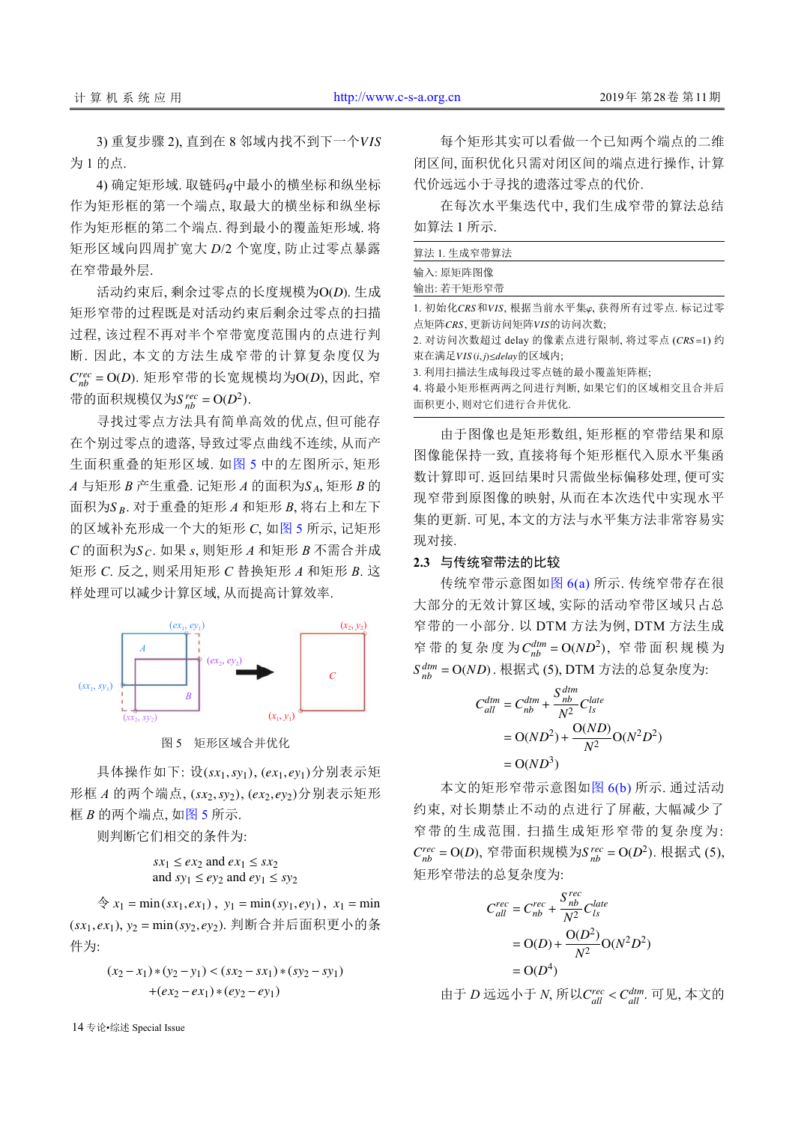3) 重复步骤 2), 直到在 8 邻域内找不到下一个*VIS* 为 1 的点.

4) 确定矩形域. 取链码 *q* 中最小的横坐标和纵坐标 作为矩形框的第一个端点, 取最大的横坐标和纵坐标 作为矩形框的第二个端点. 得到最小的覆盖矩形域. 将 矩形区域向四周扩宽大 *D*/2 个宽度, 防止过零点暴露 在窄带最外层.

活动约束后, 剩余过零点的长度规模为 O(D). 生成  $C_{nb}^{rec} = O(D)$ . 矩形窄带的长宽规模均为  $O(D)$ , 因此, 窄 带的面积规模仅为 $S_{nb}^{rec} = O(D^2)$ . 矩形窄带的过程既是对活动约束后剩余过零点的扫描 过程, 该过程不再对半个窄带宽度范围内的点进行判 断. 因此, 本文的方法生成窄带的计算复杂度仅为

*A* 与矩形 *B* 产生重叠. 记矩形 *A* 的面积为S <sub>A</sub>, 矩形 *B* 的 *S <sup>B</sup>* 面积为 . 对于重叠的矩形 *A* 和矩形 *B*, 将右上和左下  $C$  的面积为 $S_C$ . 如果  $s$ , 则矩形  $A$  和矩形  $B$  不需合并成 寻找过零点方法具有简单高效的优点, 但可能存 在个别过零点的遗落, 导致过零点曲线不连续, 从而产 生面积重叠的矩形区域. 如[图](#page-4-0) [5](#page-4-0) 中的左图所示, 矩形 的区域补充形成一个大的矩形 *C*, 如[图](#page-4-0) [5](#page-4-0) 所示, 记矩形 矩形 *C*. 反之, 则采用矩形 *C* 替换矩形 *A* 和矩形 *B*. 这 样处理可以减少计算区域, 从而提高计算效率.



图 5 矩形区域合并优化

<span id="page-4-0"></span>具体操作如下: 设(sx1, sy1), (ex1, ey1)分别表示矩 形框 *A* 的两个端点, (sx2, sy2), (ex2, ey2)分别表示矩形 框 *B* 的两个端点, [如图](#page-4-0) [5](#page-4-0) 所示.

则判断它们相交的条件为:

$$
sx_1 \le ex_2 \text{ and } ex_1 \le sx_2
$$
  
and 
$$
sy_1 \le ey_2 \text{ and } ey_1 \le sy_2
$$

 $\hat{\varphi}$   $x_1 = \min(sx_1, ex_1), y_1 = \min(sy_1, ey_1), x_1 = \min$ (*sx*1, *ex*1) *y*<sup>2</sup> = min(*sy*2, *ey*2) , . 判断合并后面积更小的条 件为:

$$
(x_2 - x_1) * (y_2 - y_1) < (sx_2 - sx_1) * (sy_2 - sy_1) \\
\quad + (ex_2 - ex_1) * (ey_2 - ey_1)
$$

14 专论•综述 Special Issue

每个矩形其实可以看做一个已知两个端点的二维 闭区间, 面积优化只需对闭区间的端点进行操作, 计算 代价远远小于寻找的遗落过零点的代价.

在每次水平集迭代中, 我们生成窄带的算法总结 如算法 1 所示.

| 算法 1. 生成窄带算法                                                               |
|----------------------------------------------------------------------------|
| 输入: 原矩阵图像                                                                  |
| 输出: 若干矩形窄带                                                                 |
| 1. 初始化CRS和VIS, 根据当前水平集 $\varphi$ , 获得所有过零点. 标记过零<br>点矩阵CRS、更新访问矩阵VIS的访问次数; |
| 2. 对访问次数超过 delay 的像素点进行限制, 将过零点 (CRS=1) 约                                  |
| 束在满足VIS(i,j)≤delay的区域内;                                                    |
| 3. 利用扫描法生成每段过零点链的最小覆盖矩阵框;                                                  |

4. 将最小矩形框两两之间进行判断, 如果它们的区域相交且合并后 面积更小, 则对它们进行合并优化.

由于图像也是矩形数组, 矩形框的窄带结果和原 图像能保持一致, 直接将每个矩形框代入原水平集函 数计算即可. 返回结果时只需做坐标偏移处理, 便可实 现窄带到原图像的映射, 从而在本次迭代中实现水平 集的更新. 可见, 本文的方法与水平集方法非常容易实 现对接.

#### **2.3** 与传统窄带法的比较

窄带的复杂度为 C<sup>dtm</sup> = O(ND<sup>2</sup>), 窄带面积规模为 *S dtm nb* = O(*ND*) . 根据式 (5), DTM 方法的总复杂度为: 传统窄带示意图如[图](#page-5-0) [6\(a\)](#page-5-0) 所示. 传统窄带存在很 大部分的无效计算区域, 实际的活动窄带区域只占总 窄带的一小部分. 以 DTM 方法为例, DTM 方法生成

$$
C_{all}^{dim} = C_{nb}^{dim} + \frac{S_{nb}^{dim}}{N^2} C_{ls}^{late}
$$
  
= O(ND<sup>2</sup>) +  $\frac{O(ND)}{N^2}$ O(N<sup>2</sup>D<sup>2</sup>)  
= O(ND<sup>3</sup>)

 $C_{nb}^{rec} = O(D)$ , 窄带面积规模为 $S_{nb}^{rec} = O(D^2)$ . 根据式 (5), 本文的矩形窄带示意图如[图](#page-5-0) [6\(b\)](#page-5-0) 所示. 通过活动 约束, 对长期禁止不动的点进行了屏蔽, 大幅减少了 窄带的生成范围. 扫描生成矩形窄带的复杂度为: 矩形窄带法的总复杂度为:

$$
C_{all}^{rec} = C_{nb}^{rec} + \frac{S_{nb}^{rec}}{N^2} C_{ls}^{late}
$$

$$
= \mathcal{O}(D) + \frac{\mathcal{O}(D^2)}{N^2} \mathcal{O}(N^2 D^2)
$$

$$
= \mathcal{O}(D^4)
$$

由于 *D* 远远小于 *N*, 所以 Crec < C<sub>all</sub> . 可见, 本文的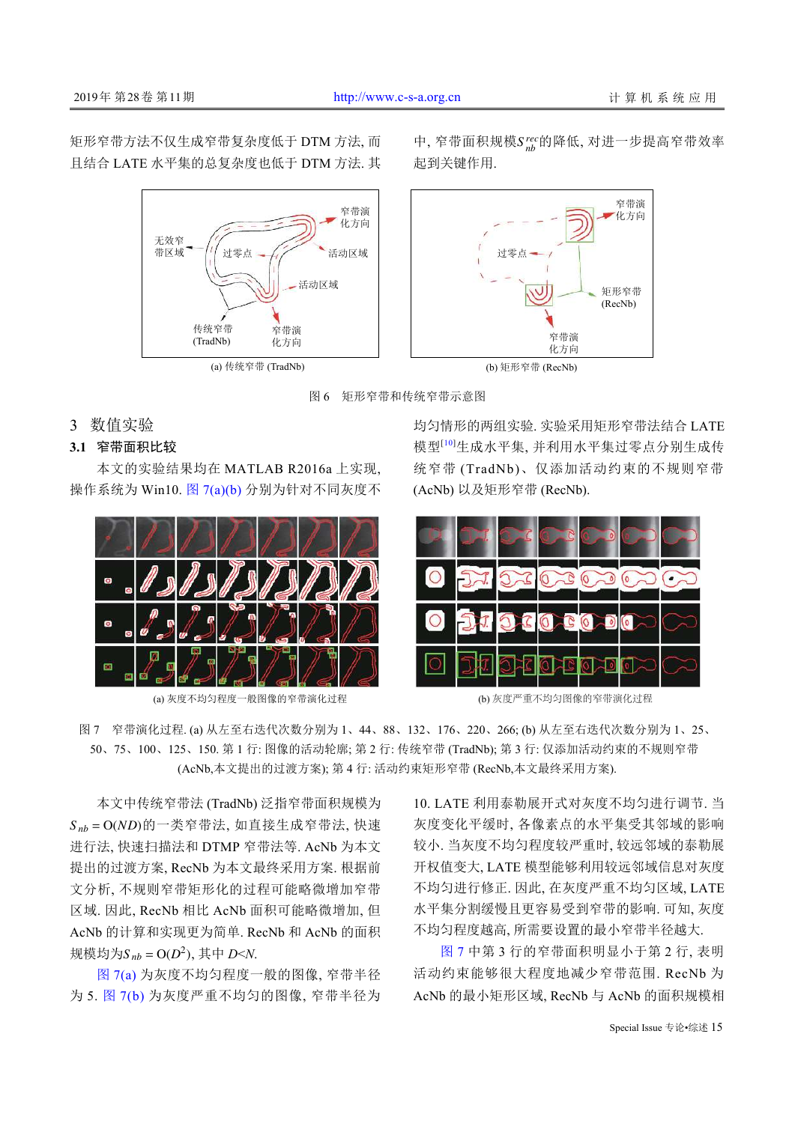矩形窄带方法不仅生成窄带复杂度低于 DTM 方法, 而 且结合 LATE 水平集的总复杂度也低于 DTM 方法. 其



中, 窄带面积规模Srec的降低, 对进一步提高窄带效率 起到关键作用.



图 6 矩形窄带和传统窄带示意图

## <span id="page-5-0"></span>3 数值实验

## **3.1** 窄带面积比较

本文的实验结果均在 MATLAB R2016a 上实现, 操作系统为 Win10. [图](#page-5-1) [7\(a\)\(b\)](#page-5-1) 分别为针对不同灰度不



(a) 灰度不均匀程度一般图像的窄带演化过程 (b) 灰度严重不均匀图像的窄带演化过程

均匀情形的两组实验. 实验采用矩形窄带法结合 LATE 模型[[10](#page-8-9)]生成水平集, 并利用水平集过零点分别生成传 统窄带 (TradNb)、仅添加活动约束的不规则窄带 (AcNb) 以及矩形窄带 (RecNb).



<span id="page-5-1"></span>图 7 窄带演化过程. (a) 从左至右迭代次数分别为 1、44、88、132、176、220、266; (b) 从左至右迭代次数分别为 1、25、 50、75、100、125、150. 第 1 行: 图像的活动轮廓; 第 2 行: 传统窄带 (TradNb); 第 3 行: 仅添加活动约束的不规则窄带 (AcNb,本文提出的过渡方案); 第 4 行: 活动约束矩形窄带 (RecNb,本文最终采用方案).

*S nb* = O(*ND*) 的一类窄带法, 如直接生成窄带法, 快速 规模均为S<sub>nb</sub> = O(D<sup>2</sup>), 其中 D<N. 本文中传统窄带法 (TradNb) 泛指窄带面积规模为 进行法, 快速扫描法和 DTMP 窄带法等. AcNb 为本文 提出的过渡方案, RecNb 为本文最终采用方案. 根据前 文分析, 不规则窄带矩形化的过程可能略微增加窄带 区域. 因此, RecNb 相比 AcNb 面积可能略微增加, 但 AcNb 的计算和实现更为简单. RecNb 和 AcNb 的面积

[图](#page-5-1) [7\(a\)](#page-5-1) 为灰度不均匀程度一般的图像, 窄带半径 为 5. [图](#page-5-1) [7\(b\)](#page-5-1) 为灰度严重不均匀的图像, 窄带半径为 10. LATE 利用泰勒展开式对灰度不均匀进行调节. 当 灰度变化平缓时, 各像素点的水平集受其邻域的影响 较小. 当灰度不均匀程度较严重时, 较远邻域的泰勒展 开权值变大, LATE 模型能够利用较远邻域信息对灰度 不均匀进行修正. 因此, 在灰度严重不均匀区域, LATE 水平集分割缓慢且更容易受到窄带的影响. 可知, 灰度 不均匀程度越高, 所需要设置的最小窄带半径越大.

[图](#page-5-1) [7](#page-5-1) 中第 3 行的窄带面积明显小于第 2 行, 表明 活动约束能够很大程度地减少窄带范围. RecNb 为 AcNb 的最小矩形区域, RecNb 与 AcNb 的面积规模相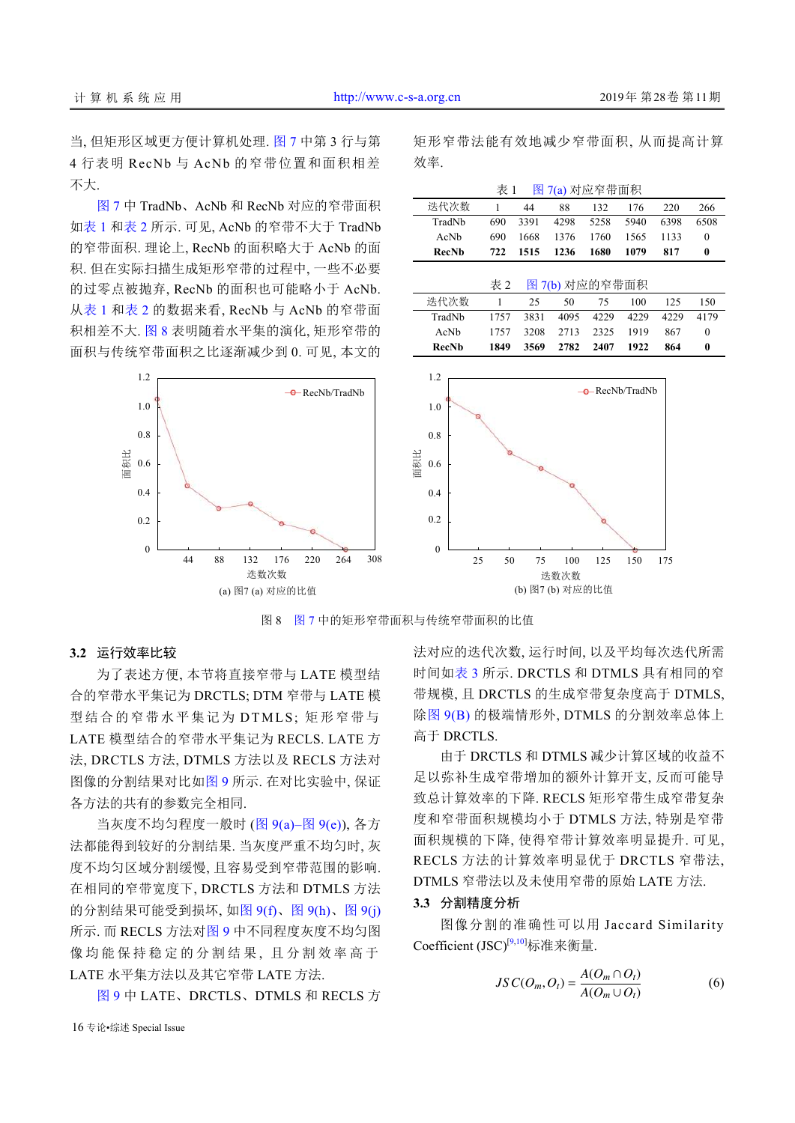不大.

[图](#page-5-1) [7](#page-5-1) 中 TradNb、AcNb 和 RecNb 对应的窄带面积 [如表](#page-6-0) [1](#page-6-0) 和[表](#page-6-1) [2](#page-6-1) 所示. 可见, AcNb 的窄带不大于 TradNb 的窄带面积. 理论上, RecNb 的面积略大于 AcNb 的面 积. 但在实际扫描生成矩形窄带的过程中, 一些不必要 的过零点被抛弃, RecNb 的面积也可能略小于 AcNb. 从[表](#page-6-0) [1](#page-6-0) 和[表](#page-6-1) [2](#page-6-1) 的数据来看, RecNb 与 AcNb 的窄带面 积相差不大. [图](#page-6-2) [8](#page-6-2) 表明随着水平集的演化, 矩形窄带的 面积与传统窄带面积之比逐渐减少到 0. 可见, 本文的

> 0 0.2 0.4 0.6 0.8 1.0 1.2 面积比 迭数次数 面积比 **e** RecNb/TradNb 44 <sup>88</sup> <sup>132</sup> <sup>176</sup> <sup>220</sup> <sup>264</sup> 308  $\theta$ 1.2 0.2 0.4 0.6 0.8 1.0

<span id="page-6-0"></span>矩形窄带法能有效地减少窄带面积, 从而提高计算 效率.

<span id="page-6-1"></span>

|                        | 表 1  |      | 图 7(a) 对应窄带面积 |                        |      |      |          |  |  |  |
|------------------------|------|------|---------------|------------------------|------|------|----------|--|--|--|
| 迭代次数                   | 1    | 44   | 88            | 132                    | 176  | 220  | 266      |  |  |  |
| TradNb                 | 690  | 3391 | 4298          | 5258                   | 5940 | 6398 | 6508     |  |  |  |
| AcNb                   | 690  | 1668 | 1376          | 1760                   | 1565 | 1133 | $\Omega$ |  |  |  |
| <b>RecNb</b>           | 722  | 1515 | 1236          | 1680                   | 1079 | 817  | $\bf{0}$ |  |  |  |
| 表 2<br>图 7(b) 对应的窄带面积  |      |      |               |                        |      |      |          |  |  |  |
| 迭代次数                   | 1    | 25   | 50            | 75                     | 100  | 125  | 150      |  |  |  |
| TradNb                 | 1757 | 3831 | 4095          | 4229                   | 4229 | 4229 | 4179     |  |  |  |
| AcNb                   | 1757 | 3208 | 2713          | 2325                   | 1919 | 867  | $\theta$ |  |  |  |
| <b>RecNb</b>           | 1849 | 3569 | 2782          | 2407                   | 1922 | 864  | 0        |  |  |  |
| 1.2<br>1.0<br>0.8<br>꼬 |      |      |               | $-\theta$ RecNb/TradNb |      |      |          |  |  |  |
| $\neg$ $\land$ $\land$ |      |      |               |                        |      |      |          |  |  |  |



[图](#page-5-1) 8 图 [7](#page-5-1) 中的矩形窄带面积与传统窄带面积的比值

## <span id="page-6-2"></span>**3.2** 运行效率比较

为了表述方便, 本节将直接窄带与 LATE 模型结 合的窄带水平集记为 DRCTLS; DTM 窄带与 LATE 模 型结合的窄带水平集记为 DTMLS; 矩形窄带与 LATE 模型结合的窄带水平集记为 RECLS. LATE 方 法, DRCTLS 方法, DTMLS 方法以及 RECLS 方法对 图像的分割结果对比如[图](#page-7-0) [9](#page-7-0) 所示. 在对比实验中, 保证 各方法的共有的参数完全相同.

当灰度不均匀程度一般时 ([图](#page-7-0) [9\(a\)–](#page-7-0)[图](#page-7-0) [9\(e\)\)](#page-7-0), 各方 法都能得到较好的分割结果. 当灰度严重不均匀时, 灰 度不均匀区域分割缓慢, 且容易受到窄带范围的影响. 在相同的窄带宽度下, DRCTLS 方法和 DTMLS 方法 的分割结果可能受到损坏, [如图](#page-7-0) [9\(f\)](#page-7-0)、[图](#page-7-0) [9\(h\)](#page-7-0)、[图](#page-7-0) [9\(j\)](#page-7-0) 所示. 而 RECLS 方法[对图](#page-7-0) [9](#page-7-0) 中不同程度灰度不均匀图 像均能保持稳定的分割结果, 且分割效率高于 LATE 水平集方法以及其它窄带 LATE 方法.

[图](#page-7-0) [9](#page-7-0) 中 LATE、DRCTLS、DTMLS 和 RECLS 方

法对[应的迭](#page-7-0)代次数, 运行时间, 以及平均每次迭代所需 时间如[表](#page-7-1) [3](#page-7-1) 所示. DRCTLS 和 DTMLS 具有相同的窄 带规模, [且](#page-7-1) [D](#page-7-1)RCTLS 的生成窄带复杂度高于 DTMLS, 除[图](#page-7-0) [9\(B\)](#page-7-0) 的极端情形外, DTMLS 的分割效率总体上 高[于](#page-7-0) [DRCT](#page-7-0)LS.

由于 DRCTLS 和 DTMLS 减少计算区域的收益不 足以弥补生成窄带增加的额外计算开支, 反而可能导 致总计算效率的下降. RECLS 矩形窄带生成窄带复杂 度和窄带面积规模均小于 DTMLS 方法, 特别是窄带 面积规模的下降, 使得窄带计算效率明显提升. 可见, RECLS 方法的计算效率明显优于 DRCTLS 窄带法, DTMLS 窄带法以及未使用窄带的原始 LATE 方法.

#### **3.3** 分割精度分析

图像分割的准确性可以用 Jaccard Similarity Coefficient (JSC)<sup>[[9](#page-8-8),[10](#page-8-9)]</sup>标准来衡量.

$$
JSC(O_m, O_t) = \frac{A(O_m \cap O_t)}{A(O_m \cup O_t)}
$$
(6)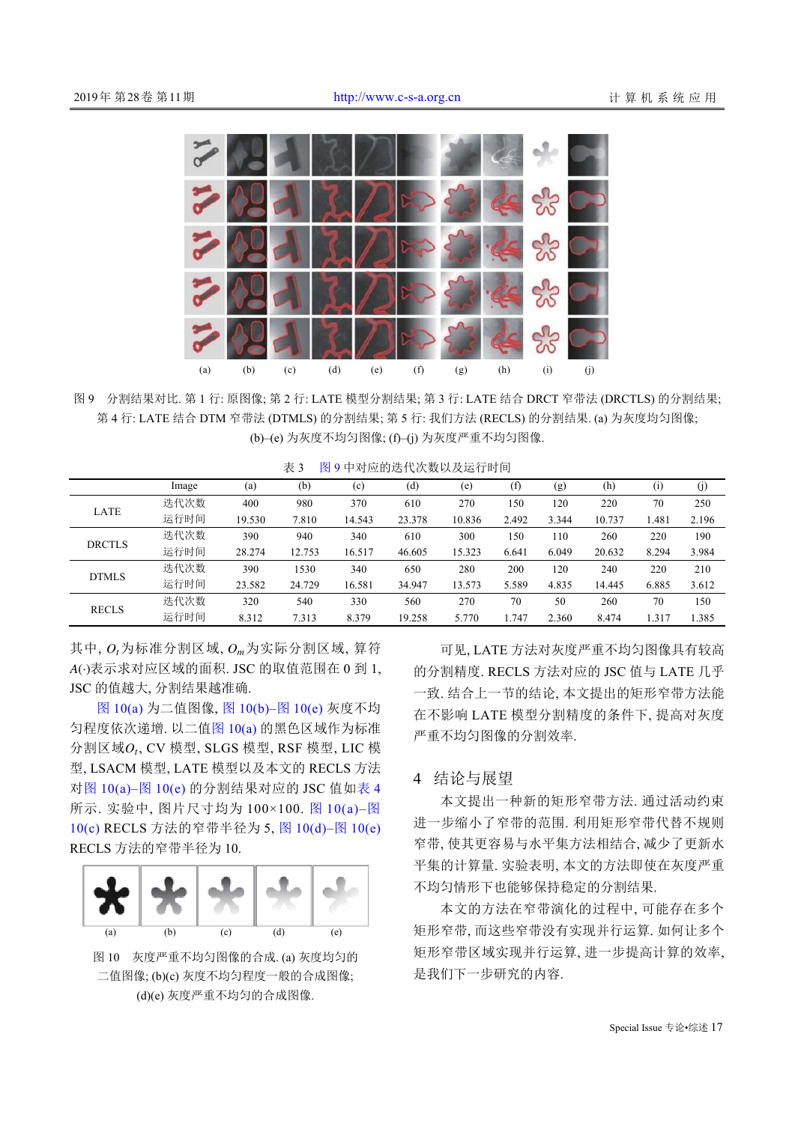

<span id="page-7-0"></span>图 9 分割结果对比. 第 1 行: 原图像; 第 2 行: LATE 模型分割结果; 第 3 行: LATE 结合 DRCT 窄带法 (DRCTLS) 的分割结果; 第 4 行: LATE 结合 DTM 窄带法 (DTMLS) 的分割结果; 第 5 行: 我们方法 (RECLS) 的分割结果. (a) 为灰度均匀图像; (b)–(e) 为灰度不均匀图像; (f)–(j) 为灰度严重不均匀图像.

<span id="page-7-1"></span>

| 表 3 |  | 图9中对应的迭代次数以及运行时间 |
|-----|--|------------------|
|-----|--|------------------|

|               | Image | (a)    | (b)    | (c)    | (d)    | (e)    | (f)   | (g)   | (h)    | $\left( i\right)$ | (j)   |
|---------------|-------|--------|--------|--------|--------|--------|-------|-------|--------|-------------------|-------|
| LATE          | 迭代次数  | 400    | 980    | 370    | 610    | 270    | 150   | 120   | 220    | 70                | 250   |
|               | 运行时间  | 19.530 | 7.810  | 14.543 | 23.378 | 10.836 | 2.492 | 3.344 | 10.737 | 1.481             | 2.196 |
| <b>DRCTLS</b> | 迭代次数  | 390    | 940    | 340    | 610    | 300    | 150   | 110   | 260    | 220               | 190   |
|               | 运行时间  | 28.274 | 12.753 | 16.517 | 46.605 | 15.323 | 6.641 | 6.049 | 20.632 | 8.294             | 3.984 |
| <b>DTMLS</b>  | 迭代次数  | 390    | 1530   | 340    | 650    | 280    | 200   | 120   | 240    | 220               | 210   |
|               | 运行时间  | 23.582 | 24.729 | 16.581 | 34.947 | 13.573 | 5.589 | 4.835 | 14.445 | 6.885             | 3.612 |
| <b>RECLS</b>  | 迭代次数  | 320    | 540    | 330    | 560    | 270    | 70    | 50    | 260    | 70                | 150   |
|               | 运行时间  | 8.312  | 7.313  | 8.379  | 19.258 | 5.770  | 1.747 | 2.360 | 8.474  | 1.317             | 1.385 |

其中,  $O_t$ 为标准分割区域,  $O_m$ 为实际分割区域, 算符 *A*(·) 表示求对应区域的面积. JSC 的取值范围在 0 到 1, JSC 的值越大, 分割结果越准确.

分割区域 $o_t$ , CV 模型, SLGS 模型, RSF 模型, LIC 模 [图](#page-7-2) [10\(a\)](#page-7-2) 为二值图像, [图](#page-7-2) [10\(b\)–](#page-7-2)[图](#page-7-2) [10\(e\)](#page-7-2) 灰度不均 匀程度依次递增. 以二[值图](#page-7-2) [10\(a\)](#page-7-2) 的黑色区域作为标准 型, LSACM 模型, LATE 模型以及本文的 RECLS 方法 对[图](#page-7-2) [10\(a\)](#page-7-2)–[图](#page-7-2) [10\(e\)](#page-7-2) 的分割结果对应的 JSC 值如[表](#page-8-21) [4](#page-8-21) 所示. 实验中, 图片尺寸均为 100×100. [图](#page-7-2) [10\(a\)](#page-7-2)–[图](#page-7-2) [10\(c\)](#page-7-2) RECLS 方法的窄带半径为 5, [图](#page-7-2) [10\(d\)](#page-7-2)–[图](#page-7-2) [10\(e\)](#page-7-2) RECLS 方法的窄带半径为 10.



<span id="page-7-2"></span>图 10 灰度严重不均匀图像的合成. (a) 灰度均匀的 二值图像; (b)(c) 灰度不均匀程度一般的合成图像; (d)(e) 灰度严重不均匀的合成图像.

可见, LATE 方法对灰度严重不均匀图像具有较高 的分割精度. RECLS 方法对应的 JSC 值与 LATE 几乎 一致. 结合上一节的结论, 本文提出的矩形窄带方法能 在不影响 LATE 模型分割精度的条件下, 提高对灰度 严重不均匀图像的分割效率.

## 4 结论与展望

本文提出一种新的矩形窄带方法. 通过活动约束 进一步缩小了窄带的范围. 利用矩形窄带代替不规则 窄带, 使其更容易与水平集方法相结合, 减少了更新水 平集的计算量. 实验表明, 本文的方法即使在灰度严重 不均匀情形下也能够保持稳定的分割结果.

本文的方法在窄带演化的过程中, 可能存在多个 矩形窄带, 而这些窄带没有实现并行运算. 如何让多个 矩形窄带区域实现并行运算, 进一步提高计算的效率, 是我们下一步研究的内容.